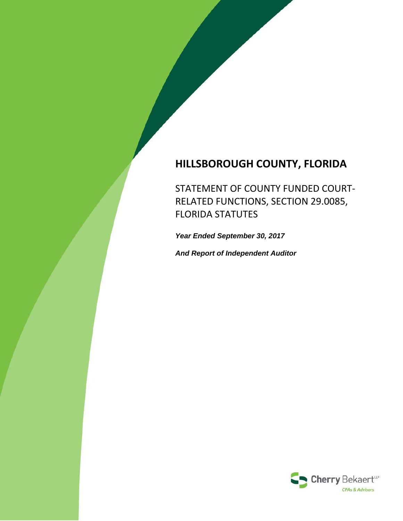# **HILLSBOROUGH COUNTY, FLORIDA**

STATEMENT OF COUNTY FUNDED COURT‐ RELATED FUNCTIONS, SECTION 29.0085, FLORIDA STATUTES

*Year Ended September 30, 2017*

*And Report of Independent Auditor*

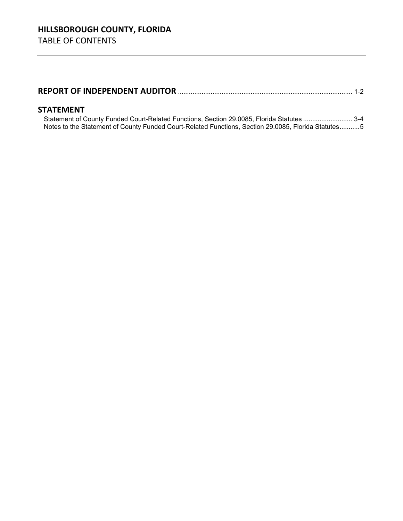|--|--|--|

### **STATEMENT**

Statement of County Funded Court-Related Functions, Section 29.0085, Florida Statutes ........................... 3-4 Notes to the Statement of County Funded Court-Related Functions, Section 29.0085, Florida Statutes ........... 5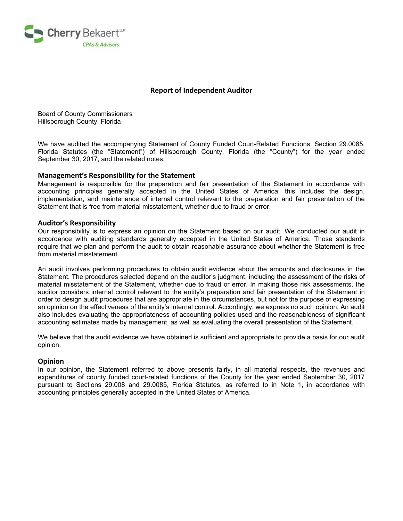

#### **Report of Independent Auditor**

Board of County Commissioners Hillsborough County, Florida

We have audited the accompanying Statement of County Funded Court-Related Functions, Section 29.0085, Florida Statutes (the "Statement") of Hillsborough County, Florida (the "County") for the year ended September 30, 2017, and the related notes.

#### **Management's Responsibility for the Statement**

Management is responsible for the preparation and fair presentation of the Statement in accordance with accounting principles generally accepted in the United States of America; this includes the design, implementation, and maintenance of internal control relevant to the preparation and fair presentation of the Statement that is free from material misstatement, whether due to fraud or error.

#### **Auditor's Responsibility**

Our responsibility is to express an opinion on the Statement based on our audit. We conducted our audit in accordance with auditing standards generally accepted in the United States of America. Those standards require that we plan and perform the audit to obtain reasonable assurance about whether the Statement is free from material misstatement.

An audit involves performing procedures to obtain audit evidence about the amounts and disclosures in the Statement. The procedures selected depend on the auditor's judgment, including the assessment of the risks of material misstatement of the Statement, whether due to fraud or error. In making those risk assessments, the auditor considers internal control relevant to the entity's preparation and fair presentation of the Statement in order to design audit procedures that are appropriate in the circumstances, but not for the purpose of expressing an opinion on the effectiveness of the entity's internal control. Accordingly, we express no such opinion. An audit also includes evaluating the appropriateness of accounting policies used and the reasonableness of significant accounting estimates made by management, as well as evaluating the overall presentation of the Statement.

We believe that the audit evidence we have obtained is sufficient and appropriate to provide a basis for our audit opinion.

#### **Opinion**

In our opinion, the Statement referred to above presents fairly, in all material respects, the revenues and expenditures of county funded court-related functions of the County for the year ended September 30, 2017 pursuant to Sections 29.008 and 29.0085, Florida Statutes, as referred to in Note 1, in accordance with accounting principles generally accepted in the United States of America.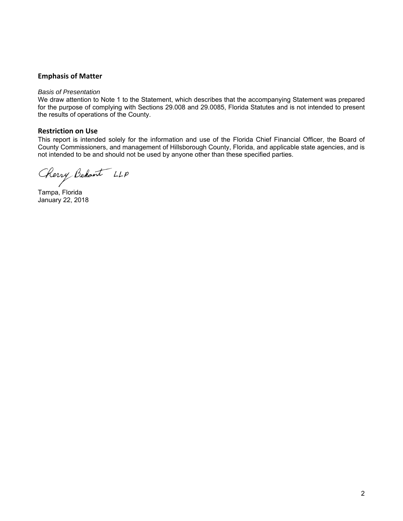#### **Emphasis of Matter**

#### *Basis of Presentation*

We draw attention to Note 1 to the Statement, which describes that the accompanying Statement was prepared for the purpose of complying with Sections 29.008 and 29.0085, Florida Statutes and is not intended to present the results of operations of the County.

#### **Restriction on Use**

This report is intended solely for the information and use of the Florida Chief Financial Officer, the Board of County Commissioners, and management of Hillsborough County, Florida, and applicable state agencies, and is not intended to be and should not be used by anyone other than these specified parties.

Cherry Behant LLP

Tampa, Florida January 22, 2018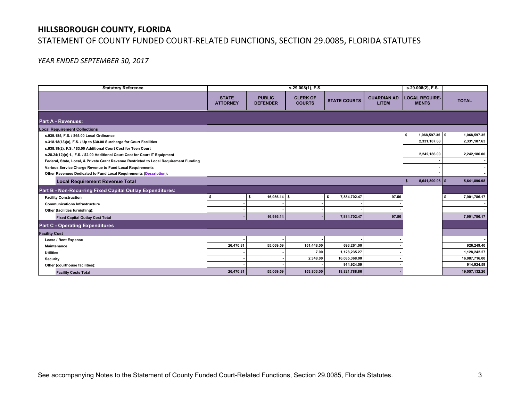## **HILLSBOROUGH COUNTY, FLORIDA**  STATEMENT OF COUNTY FUNDED COURT‐RELATED FUNCTIONS, SECTION 29.0085, FLORIDA STATUTES

### *YEAR ENDED SEPTEMBER 30, 2017*

| <b>Statutory Reference</b>                                                             | s.29.008(1), F.S.               |                                  |                                  |                     |                                    | s.29.008(2), F.S.                     |               |
|----------------------------------------------------------------------------------------|---------------------------------|----------------------------------|----------------------------------|---------------------|------------------------------------|---------------------------------------|---------------|
|                                                                                        |                                 |                                  |                                  |                     |                                    |                                       |               |
|                                                                                        | <b>STATE</b><br><b>ATTORNEY</b> | <b>PUBLIC</b><br><b>DEFENDER</b> | <b>CLERK OF</b><br><b>COURTS</b> | <b>STATE COURTS</b> | <b>GUARDIAN AD</b><br><b>LITEM</b> | <b>LOCAL REQUIRE-</b><br><b>MENTS</b> | <b>TOTAL</b>  |
| <b>Part A - Revenues:</b>                                                              |                                 |                                  |                                  |                     |                                    |                                       |               |
| <b>Local Requirement Collections</b>                                                   |                                 |                                  |                                  |                     |                                    |                                       |               |
| s.939.185, F.S. / \$65.00 Local Ordinance                                              |                                 |                                  |                                  |                     |                                    | $1,068,597.35$ \$<br>s.               | 1,068,597.35  |
| s.318.18(13)(a), F.S. / Up to \$30.00 Surcharge for Court Facilities                   |                                 |                                  |                                  |                     |                                    | 2,331,107.63                          | 2,331,107.63  |
| s.938.19(2), F.S. / \$3.00 Additional Court Cost for Teen Court                        |                                 |                                  |                                  |                     |                                    |                                       |               |
| s.28.24(12)(e) 1., F.S. / \$2.00 Additional Court Cost for Court IT Equipment          |                                 |                                  |                                  |                     |                                    | 2,242,186.00                          | 2,242,186.00  |
| Federal, State, Local, & Private Grant Revenue Restricted to Local Requirement Funding |                                 |                                  |                                  |                     |                                    |                                       |               |
| Various Service Charge Revenue to Fund Local Requirements                              |                                 |                                  |                                  |                     |                                    |                                       |               |
| Other Revenues Dedicated to Fund Local Requirements (Description):                     |                                 |                                  |                                  |                     |                                    |                                       |               |
| <b>Local Requirement Revenue Total</b>                                                 |                                 |                                  |                                  |                     |                                    | $5,641,890.98$ \$<br>-9               | 5,641,890.98  |
| <b>Part B - Non-Recurring Fixed Capital Outlay Expenditures:</b>                       |                                 |                                  |                                  |                     |                                    |                                       |               |
| <b>Facility Construction</b>                                                           |                                 | s.<br>$16,986.14$ \$             |                                  | 7,884,702.47<br>Ŝ.  | 97.56                              |                                       | 7,901,786.17  |
| <b>Communications Infrastructure</b>                                                   |                                 |                                  |                                  |                     |                                    |                                       |               |
| Other (facilities furnishing):                                                         |                                 |                                  |                                  |                     |                                    |                                       |               |
| <b>Fixed Capital Outlay Cost Total</b>                                                 |                                 | 16,986.14                        |                                  | 7,884,702.47        | 97.56                              |                                       | 7,901,786.17  |
| <b>Part C - Operating Expenditures</b>                                                 |                                 |                                  |                                  |                     |                                    |                                       |               |
| <b>Facility Cost</b>                                                                   |                                 |                                  |                                  |                     |                                    |                                       |               |
| Lease / Rent Expense                                                                   |                                 |                                  |                                  |                     |                                    |                                       |               |
| <b>Maintenance</b>                                                                     | 26,470.81                       | 55,069.59                        | 151,448.00                       | 693,261.00          |                                    |                                       | 926,249.40    |
| <b>Utilities</b>                                                                       |                                 |                                  | 7.00                             | 1,128,235.27        |                                    |                                       | 1,128,242.27  |
| Security                                                                               |                                 |                                  | 2,348.00                         | 16,085,368.00       |                                    |                                       | 16,087,716.00 |
| Other (courthouse facilities):                                                         |                                 |                                  |                                  | 914,924.59          |                                    |                                       | 914,924.59    |
| <b>Facility Costs Total</b>                                                            | 26,470.81                       | 55,069.59                        | 153,803.00                       | 18,821,788.86       |                                    |                                       | 19,057,132.26 |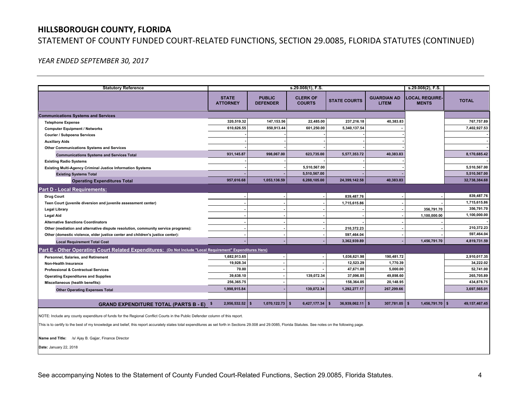### **HILLSBOROUGH COUNTY, FLORIDA**

## STATEMENT OF COUNTY FUNDED COURT‐RELATED FUNCTIONS, SECTION 29.0085, FLORIDA STATUTES (CONTINUED)

*YEAR ENDED SEPTEMBER 30, 2017* 

| <b>Statutory Reference</b>                                                                                  |                                 |                                  | s.29.008(1), F.S.                |                     |                                    | $s.29.008(2)$ , F.S.                  |                  |
|-------------------------------------------------------------------------------------------------------------|---------------------------------|----------------------------------|----------------------------------|---------------------|------------------------------------|---------------------------------------|------------------|
|                                                                                                             | <b>STATE</b><br><b>ATTORNEY</b> | <b>PUBLIC</b><br><b>DEFENDER</b> | <b>CLERK OF</b><br><b>COURTS</b> | <b>STATE COURTS</b> | <b>GUARDIAN AD</b><br><b>LITEM</b> | <b>LOCAL REQUIRE-</b><br><b>MENTS</b> | <b>TOTAL</b>     |
| <b>Communications Systems and Services</b>                                                                  |                                 |                                  |                                  |                     |                                    |                                       |                  |
| <b>Telephone Expense</b>                                                                                    | 320,519.32                      | 147,153.56                       | 22,485.00                        | 237,216.18          | 40,383.83                          |                                       | 767.757.89       |
| <b>Computer Equipment / Networks</b>                                                                        | 610.626.55                      | 850,913.44                       | 601,250.00                       | 5.340.137.54        |                                    |                                       | 7.402.927.53     |
| Courier / Subpoena Services                                                                                 |                                 |                                  |                                  |                     |                                    |                                       |                  |
| <b>Auxiliary Aids</b>                                                                                       |                                 |                                  |                                  |                     |                                    |                                       |                  |
| Other Communications Systems and Services                                                                   |                                 |                                  |                                  |                     |                                    |                                       |                  |
| <b>Communications Systems and Services Total</b>                                                            | 931.145.87                      | 998,067.00                       | 623,735.00                       | 5,577,353.72        | 40,383.83                          |                                       | 8,170,685.42     |
| <b>Existing Radio Systems</b>                                                                               |                                 |                                  |                                  |                     |                                    |                                       |                  |
| <b>Existing Multi-Agency Criminal Justice Information Systems</b>                                           |                                 |                                  | 5,510,567.00                     |                     |                                    |                                       | 5,510,567.00     |
| <b>Existing Systems Total</b>                                                                               |                                 |                                  | 5,510,567.00                     |                     |                                    |                                       | 5,510,567.00     |
| <b>Operating Expenditures Total</b>                                                                         | 957.616.68                      | 1.053.136.59                     | 6.288.105.00                     | 24.399.142.58       | 40.383.83                          |                                       | 32,738,384.68    |
| <b>Part D - Local Requirements:</b>                                                                         |                                 |                                  |                                  |                     |                                    |                                       |                  |
| <b>Drug Court</b>                                                                                           |                                 |                                  |                                  | 839.487.76          |                                    |                                       | 839,487.76       |
| Teen Court (juvenile diversion and juvenile assessment center)                                              |                                 |                                  |                                  | 1,715,615.86        |                                    |                                       | 1,715,615.86     |
| <b>Legal Library</b>                                                                                        |                                 |                                  |                                  |                     |                                    | 356,791.70                            | 356.791.70       |
| <b>Legal Aid</b>                                                                                            |                                 |                                  |                                  |                     |                                    | 1,100,000.00                          | 1,100,000.00     |
| <b>Alternative Sanctions Coordinators</b>                                                                   |                                 |                                  |                                  |                     |                                    |                                       |                  |
| Other (mediation and alternative dispute resolution, community service programs):                           |                                 |                                  |                                  | 210,372.23          |                                    |                                       | 210,372.23       |
| Other (domestic violence, elder justice center and children's justice center):                              |                                 |                                  |                                  | 597,464.04          |                                    |                                       | 597,464.04       |
| <b>Local Requirement Total Cost</b>                                                                         |                                 |                                  |                                  | 3,362,939.89        |                                    | 1,456,791.70                          | 4,819,731.59     |
| Part E - Other Operating Court Related Expenditures: (Do Not Include "Local Requirement" Expenditures Here) |                                 |                                  |                                  |                     |                                    |                                       |                  |
| Personnel, Salaries, and Retirement                                                                         | 1,682,913.65                    |                                  |                                  | 1,036,621.98        | 190,481.72                         |                                       | 2,910,017.35     |
| <b>Non-Health Insurance</b>                                                                                 | 19,928.34                       |                                  |                                  | 12,523.29           | 1,770.39                           |                                       | 34,222.02        |
| <b>Professional &amp; Contractual Services</b>                                                              | 70.00                           |                                  |                                  | 47,671.00           | 5,000.00                           |                                       | 52,741.00        |
| <b>Operating Expenditures and Supplies</b>                                                                  | 39,638.10                       |                                  | 139,072.34                       | 37,096.85           | 49,898.60                          |                                       | 265,705.89       |
| Miscellaneous (health benefits):                                                                            | 256,365.75                      |                                  |                                  | 158,364.05          | 20,148.95                          |                                       | 434,878.75       |
| <b>Other Operating Expenses Total</b>                                                                       | 1,998,915.84                    |                                  | 139,072.34                       | 1,292,277.17        | 267,299.66                         |                                       | 3,697,565.01     |
|                                                                                                             |                                 |                                  |                                  |                     |                                    |                                       |                  |
| <b>GRAND EXPENDITURE TOTAL (PARTS B - E) \$</b>                                                             | 2,956,532.52                    | $1,070,122.73$ \$<br>- 19        | $6,427,177.34$ \$                | 36,939,062.11       | $307,781.05$ \$                    | 1,456,791.70 \$                       | 49, 157, 467. 45 |

NOTE: Include any county expenditure of funds for the Regional Conflict Courts in the Public Defender column of this report.

This is to certify to the best of my knowledge and belief, this report accurately states total expenditures as set forth in Sections 29.008 and 29.0085, Florida Statutes. See notes on the following page.

**Name and Title:** /s/ Ajay B. Gajjar, Finance Director

**Date:** January 22, 2018